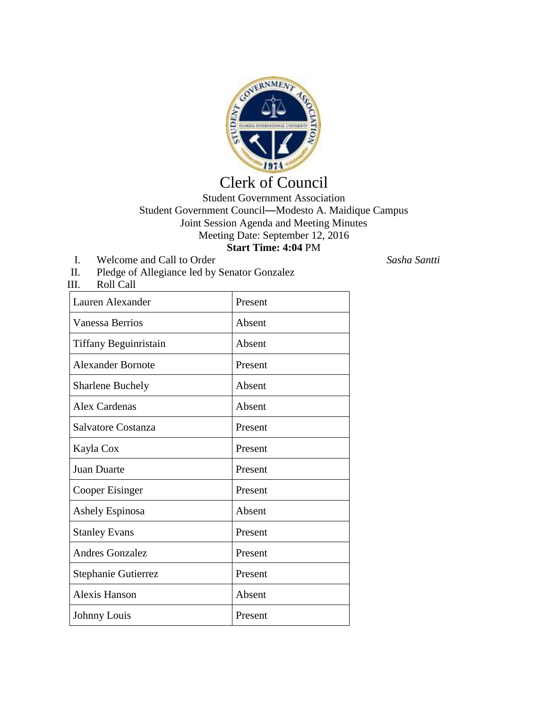

## Clerk of Council

## Student Government Association Student Government Council—Modesto A. Maidique Campus Joint Session Agenda and Meeting Minutes Meeting Date: September 12, 2016 **Start Time: 4:04** PM

- I. Welcome and Call to Order *Sasha Santti*
- II. Pledge of Allegiance led by Senator Gonzalez

| III.<br>Roll Call        |         |
|--------------------------|---------|
| Lauren Alexander         | Present |
| <b>Vanessa Berrios</b>   | Absent  |
| Tiffany Beguinristain    | Absent  |
| <b>Alexander Bornote</b> | Present |
| <b>Sharlene Buchely</b>  | Absent  |
| <b>Alex Cardenas</b>     | Absent  |
| Salvatore Costanza       | Present |
| Kayla Cox                | Present |
| <b>Juan Duarte</b>       | Present |
| Cooper Eisinger          | Present |
| Ashely Espinosa          | Absent  |
| <b>Stanley Evans</b>     | Present |
| <b>Andres Gonzalez</b>   | Present |
| Stephanie Gutierrez      | Present |
| <b>Alexis Hanson</b>     | Absent  |
| Johnny Louis             | Present |
|                          |         |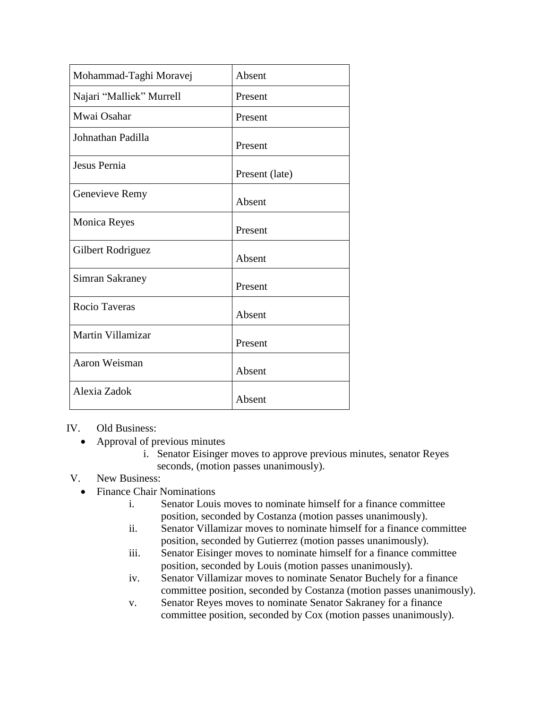| Mohammad-Taghi Moravej   | Absent         |
|--------------------------|----------------|
| Najari "Malliek" Murrell | Present        |
| Mwai Osahar              | Present        |
| Johnathan Padilla        | Present        |
| Jesus Pernia             | Present (late) |
| Genevieve Remy           | Absent         |
| <b>Monica Reyes</b>      | Present        |
| Gilbert Rodriguez        | Absent         |
| Simran Sakraney          | Present        |
| Rocio Taveras            | Absent         |
| Martin Villamizar        | Present        |
| Aaron Weisman            | Absent         |
| Alexia Zadok             | Absent         |

## IV. Old Business:

- Approval of previous minutes
	- i. Senator Eisinger moves to approve previous minutes, senator Reyes seconds, (motion passes unanimously).

## V. New Business:

- Finance Chair Nominations
	- i. Senator Louis moves to nominate himself for a finance committee position, seconded by Costanza (motion passes unanimously).
	- ii. Senator Villamizar moves to nominate himself for a finance committee position, seconded by Gutierrez (motion passes unanimously).
	- iii. Senator Eisinger moves to nominate himself for a finance committee position, seconded by Louis (motion passes unanimously).
	- iv. Senator Villamizar moves to nominate Senator Buchely for a finance committee position, seconded by Costanza (motion passes unanimously).
	- v. Senator Reyes moves to nominate Senator Sakraney for a finance committee position, seconded by Cox (motion passes unanimously).